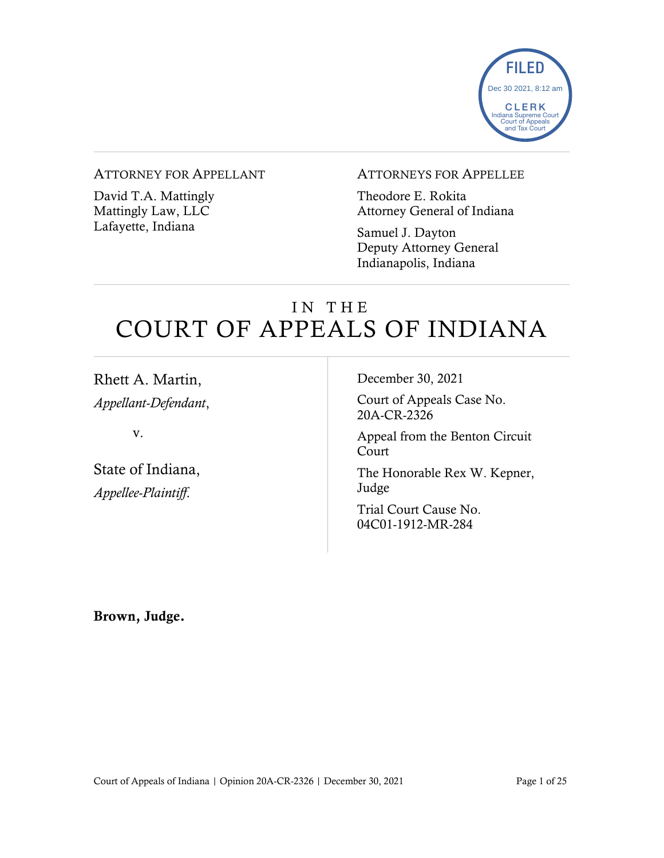

# ATTORNEY FOR APPELLANT

David T.A. Mattingly Mattingly Law, LLC Lafayette, Indiana

### ATTORNEYS FOR APPELLEE

Theodore E. Rokita Attorney General of Indiana

Samuel J. Dayton Deputy Attorney General Indianapolis, Indiana

# IN THE COURT OF APPEALS OF INDIANA

| Rhett A. Martin,                                | December 30, 2021                          |
|-------------------------------------------------|--------------------------------------------|
| Appellant-Defendant,                            | Court of Appeals Case No.<br>20A-CR-2326   |
| V.                                              | Appeal from the Benton Circuit<br>Court    |
| State of Indiana,<br><i>Appellee-Plaintiff.</i> | The Honorable Rex W. Kepner,<br>Judge      |
|                                                 | Trial Court Cause No.<br>04C01-1912-MR-284 |
|                                                 |                                            |

Brown, Judge.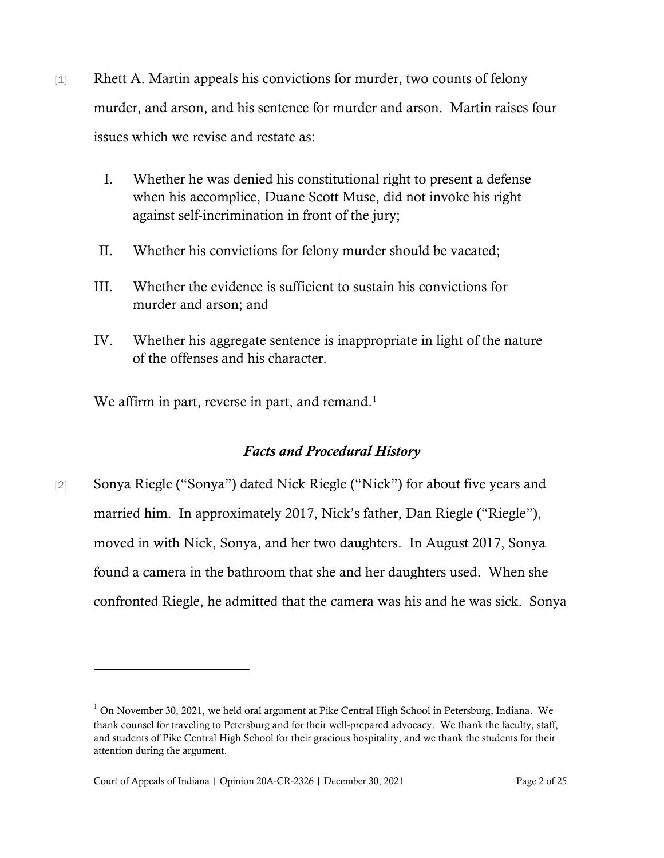- [1] Rhett A. Martin appeals his convictions for murder, two counts of felony murder, and arson, and his sentence for murder and arson. Martin raises four issues which we revise and restate as:
	- I. Whether he was denied his constitutional right to present a defense when his accomplice, Duane Scott Muse, did not invoke his right against self-incrimination in front of the jury;
	- II. Whether his convictions for felony murder should be vacated;
	- III. Whether the evidence is sufficient to sustain his convictions for murder and arson; and
	- IV. Whether his aggregate sentence is inappropriate in light of the nature of the offenses and his character.

We affirm in part, reverse in part, and remand.<sup>[1](#page-1-0)</sup>

# *Facts and Procedural History*

[2] Sonya Riegle ("Sonya") dated Nick Riegle ("Nick") for about five years and married him. In approximately 2017, Nick's father, Dan Riegle ("Riegle"), moved in with Nick, Sonya, and her two daughters. In August 2017, Sonya found a camera in the bathroom that she and her daughters used. When she confronted Riegle, he admitted that the camera was his and he was sick. Sonya

<span id="page-1-0"></span> $<sup>1</sup>$  On November 30, 2021, we held oral argument at Pike Central High School in Petersburg, Indiana. We</sup> thank counsel for traveling to Petersburg and for their well-prepared advocacy. We thank the faculty, staff, and students of Pike Central High School for their gracious hospitality, and we thank the students for their attention during the argument.

Court of Appeals of Indiana | Opinion 20A-CR-2326 | December 30, 2021 Page 2 of 25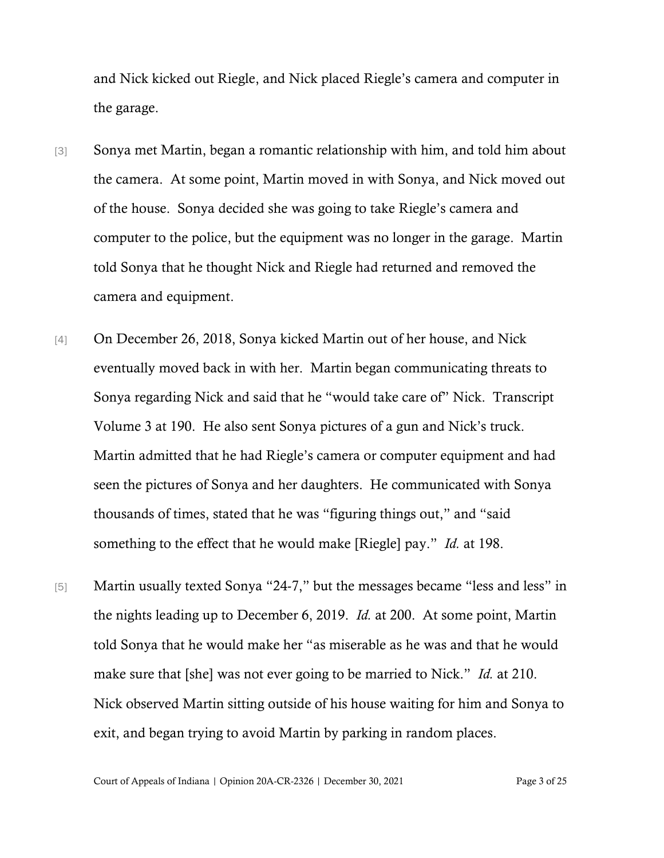and Nick kicked out Riegle, and Nick placed Riegle's camera and computer in the garage.

- [3] Sonya met Martin, began a romantic relationship with him, and told him about the camera. At some point, Martin moved in with Sonya, and Nick moved out of the house. Sonya decided she was going to take Riegle's camera and computer to the police, but the equipment was no longer in the garage. Martin told Sonya that he thought Nick and Riegle had returned and removed the camera and equipment.
- [4] On December 26, 2018, Sonya kicked Martin out of her house, and Nick eventually moved back in with her. Martin began communicating threats to Sonya regarding Nick and said that he "would take care of" Nick. Transcript Volume 3 at 190. He also sent Sonya pictures of a gun and Nick's truck. Martin admitted that he had Riegle's camera or computer equipment and had seen the pictures of Sonya and her daughters. He communicated with Sonya thousands of times, stated that he was "figuring things out," and "said something to the effect that he would make [Riegle] pay." *Id.* at 198.
- [5] Martin usually texted Sonya "24-7," but the messages became "less and less" in the nights leading up to December 6, 2019. *Id.* at 200. At some point, Martin told Sonya that he would make her "as miserable as he was and that he would make sure that [she] was not ever going to be married to Nick." *Id.* at 210. Nick observed Martin sitting outside of his house waiting for him and Sonya to exit, and began trying to avoid Martin by parking in random places.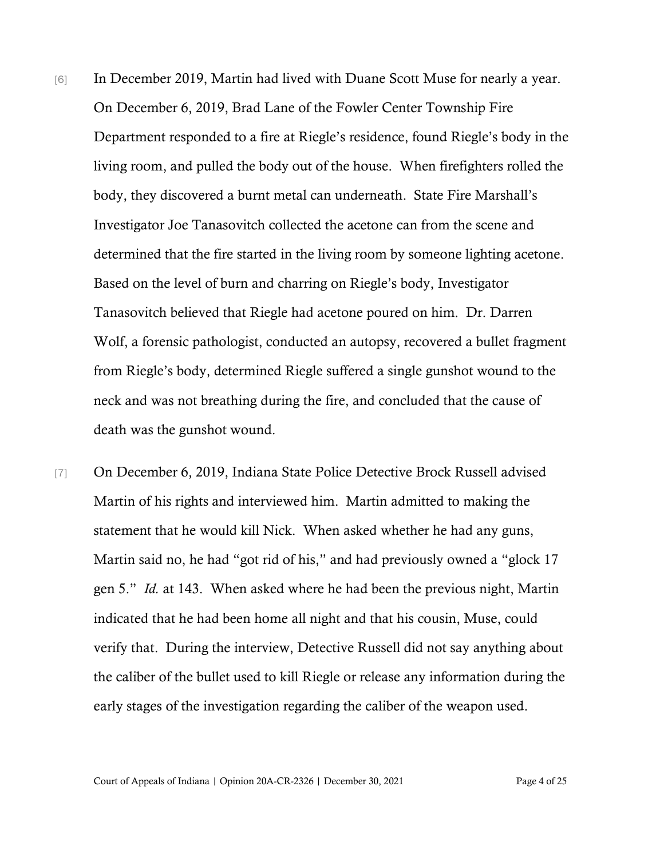- [6] In December 2019, Martin had lived with Duane Scott Muse for nearly a year. On December 6, 2019, Brad Lane of the Fowler Center Township Fire Department responded to a fire at Riegle's residence, found Riegle's body in the living room, and pulled the body out of the house. When firefighters rolled the body, they discovered a burnt metal can underneath. State Fire Marshall's Investigator Joe Tanasovitch collected the acetone can from the scene and determined that the fire started in the living room by someone lighting acetone. Based on the level of burn and charring on Riegle's body, Investigator Tanasovitch believed that Riegle had acetone poured on him. Dr. Darren Wolf, a forensic pathologist, conducted an autopsy, recovered a bullet fragment from Riegle's body, determined Riegle suffered a single gunshot wound to the neck and was not breathing during the fire, and concluded that the cause of death was the gunshot wound.
- [7] On December 6, 2019, Indiana State Police Detective Brock Russell advised Martin of his rights and interviewed him. Martin admitted to making the statement that he would kill Nick. When asked whether he had any guns, Martin said no, he had "got rid of his," and had previously owned a "glock 17 gen 5." *Id.* at 143. When asked where he had been the previous night, Martin indicated that he had been home all night and that his cousin, Muse, could verify that. During the interview, Detective Russell did not say anything about the caliber of the bullet used to kill Riegle or release any information during the early stages of the investigation regarding the caliber of the weapon used.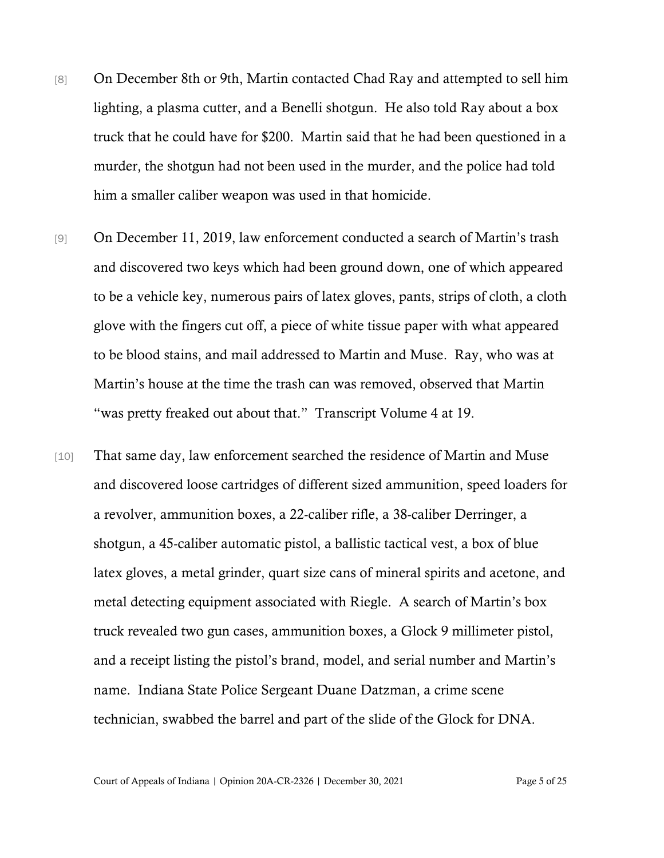- [8] On December 8th or 9th, Martin contacted Chad Ray and attempted to sell him lighting, a plasma cutter, and a Benelli shotgun. He also told Ray about a box truck that he could have for \$200. Martin said that he had been questioned in a murder, the shotgun had not been used in the murder, and the police had told him a smaller caliber weapon was used in that homicide.
- [9] On December 11, 2019, law enforcement conducted a search of Martin's trash and discovered two keys which had been ground down, one of which appeared to be a vehicle key, numerous pairs of latex gloves, pants, strips of cloth, a cloth glove with the fingers cut off, a piece of white tissue paper with what appeared to be blood stains, and mail addressed to Martin and Muse. Ray, who was at Martin's house at the time the trash can was removed, observed that Martin "was pretty freaked out about that." Transcript Volume 4 at 19.
- [10] That same day, law enforcement searched the residence of Martin and Muse and discovered loose cartridges of different sized ammunition, speed loaders for a revolver, ammunition boxes, a 22-caliber rifle, a 38-caliber Derringer, a shotgun, a 45-caliber automatic pistol, a ballistic tactical vest, a box of blue latex gloves, a metal grinder, quart size cans of mineral spirits and acetone, and metal detecting equipment associated with Riegle. A search of Martin's box truck revealed two gun cases, ammunition boxes, a Glock 9 millimeter pistol, and a receipt listing the pistol's brand, model, and serial number and Martin's name. Indiana State Police Sergeant Duane Datzman, a crime scene technician, swabbed the barrel and part of the slide of the Glock for DNA.

Court of Appeals of Indiana | Opinion 20A-CR-2326 | December 30, 2021 Page 5 of 25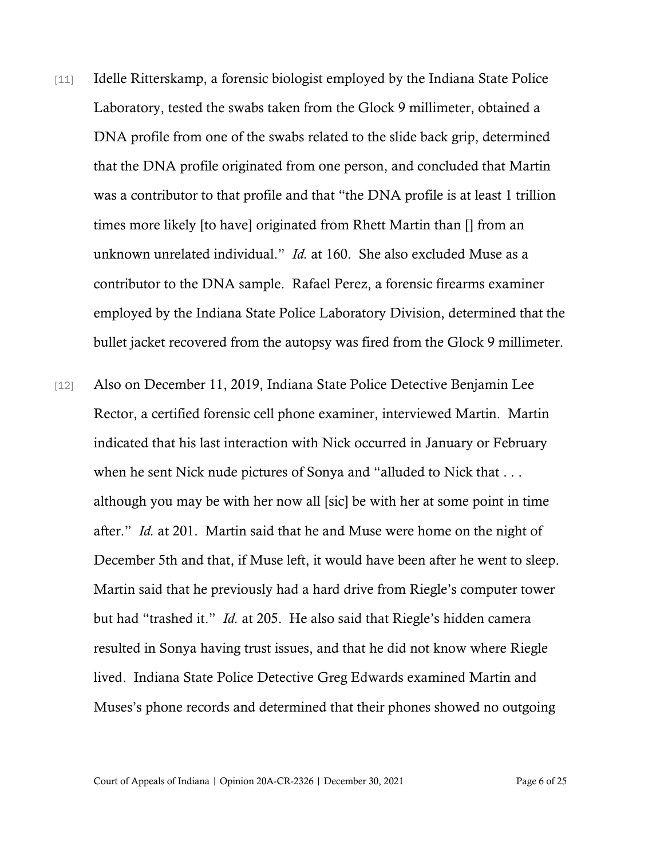- [11] Idelle Ritterskamp, a forensic biologist employed by the Indiana State Police Laboratory, tested the swabs taken from the Glock 9 millimeter, obtained a DNA profile from one of the swabs related to the slide back grip, determined that the DNA profile originated from one person, and concluded that Martin was a contributor to that profile and that "the DNA profile is at least 1 trillion times more likely [to have] originated from Rhett Martin than [] from an unknown unrelated individual." *Id.* at 160. She also excluded Muse as a contributor to the DNA sample. Rafael Perez, a forensic firearms examiner employed by the Indiana State Police Laboratory Division, determined that the bullet jacket recovered from the autopsy was fired from the Glock 9 millimeter.
- [12] Also on December 11, 2019, Indiana State Police Detective Benjamin Lee Rector, a certified forensic cell phone examiner, interviewed Martin. Martin indicated that his last interaction with Nick occurred in January or February when he sent Nick nude pictures of Sonya and "alluded to Nick that . . . although you may be with her now all [sic] be with her at some point in time after." *Id.* at 201. Martin said that he and Muse were home on the night of December 5th and that, if Muse left, it would have been after he went to sleep. Martin said that he previously had a hard drive from Riegle's computer tower but had "trashed it." *Id.* at 205. He also said that Riegle's hidden camera resulted in Sonya having trust issues, and that he did not know where Riegle lived. Indiana State Police Detective Greg Edwards examined Martin and Muses's phone records and determined that their phones showed no outgoing

Court of Appeals of Indiana | Opinion 20A-CR-2326 | December 30, 2021 Page 6 of 25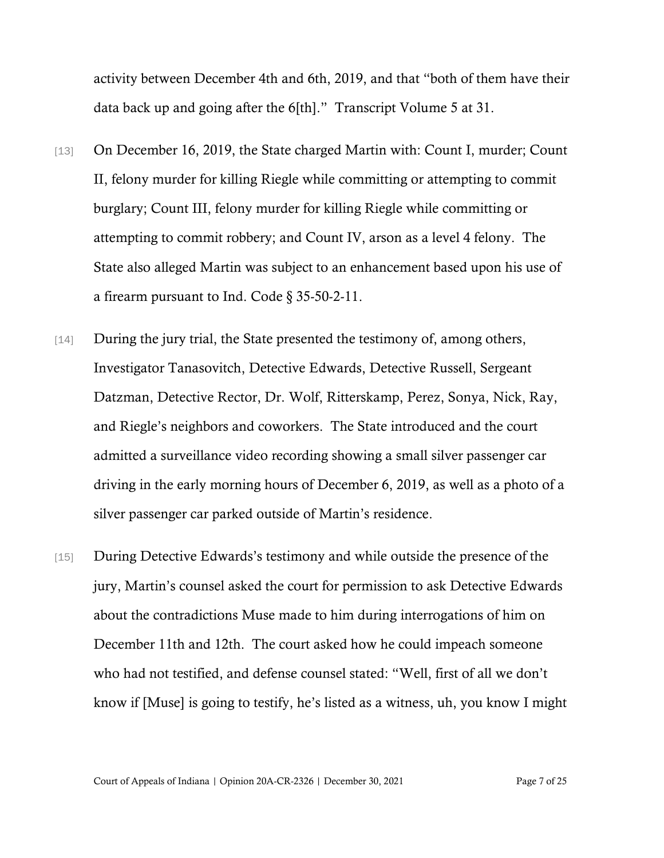activity between December 4th and 6th, 2019, and that "both of them have their data back up and going after the 6[th]." Transcript Volume 5 at 31.

- [13] On December 16, 2019, the State charged Martin with: Count I, murder; Count II, felony murder for killing Riegle while committing or attempting to commit burglary; Count III, felony murder for killing Riegle while committing or attempting to commit robbery; and Count IV, arson as a level 4 felony. The State also alleged Martin was subject to an enhancement based upon his use of a firearm pursuant to Ind. Code § 35-50-2-11.
- [14] During the jury trial, the State presented the testimony of, among others, Investigator Tanasovitch, Detective Edwards, Detective Russell, Sergeant Datzman, Detective Rector, Dr. Wolf, Ritterskamp, Perez, Sonya, Nick, Ray, and Riegle's neighbors and coworkers. The State introduced and the court admitted a surveillance video recording showing a small silver passenger car driving in the early morning hours of December 6, 2019, as well as a photo of a silver passenger car parked outside of Martin's residence.
- [15] During Detective Edwards's testimony and while outside the presence of the jury, Martin's counsel asked the court for permission to ask Detective Edwards about the contradictions Muse made to him during interrogations of him on December 11th and 12th. The court asked how he could impeach someone who had not testified, and defense counsel stated: "Well, first of all we don't know if [Muse] is going to testify, he's listed as a witness, uh, you know I might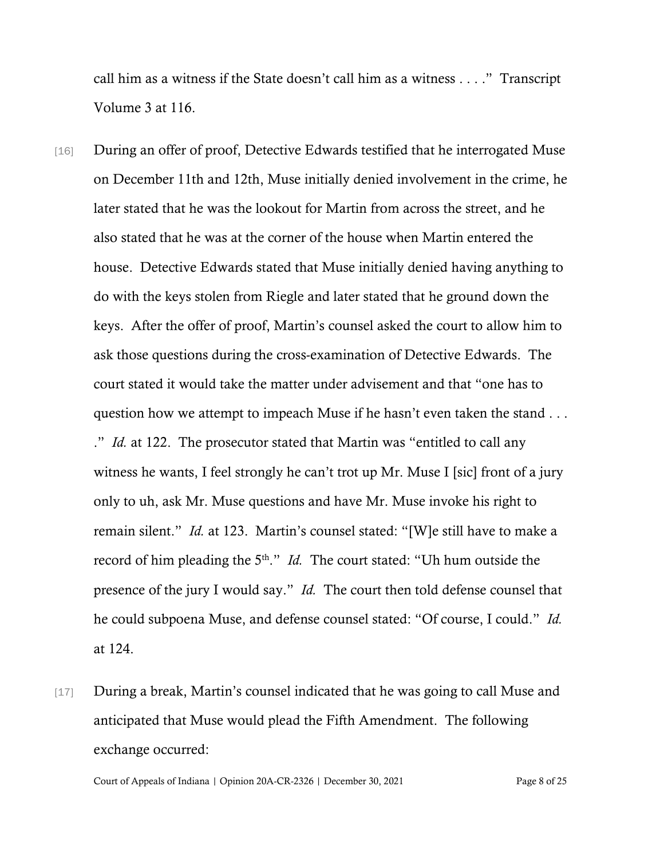call him as a witness if the State doesn't call him as a witness . . . ." Transcript Volume 3 at 116.

- [16] During an offer of proof, Detective Edwards testified that he interrogated Muse on December 11th and 12th, Muse initially denied involvement in the crime, he later stated that he was the lookout for Martin from across the street, and he also stated that he was at the corner of the house when Martin entered the house. Detective Edwards stated that Muse initially denied having anything to do with the keys stolen from Riegle and later stated that he ground down the keys. After the offer of proof, Martin's counsel asked the court to allow him to ask those questions during the cross-examination of Detective Edwards. The court stated it would take the matter under advisement and that "one has to question how we attempt to impeach Muse if he hasn't even taken the stand . . . ." *Id.* at 122. The prosecutor stated that Martin was "entitled to call any witness he wants, I feel strongly he can't trot up Mr. Muse I [sic] front of a jury only to uh, ask Mr. Muse questions and have Mr. Muse invoke his right to remain silent." *Id.* at 123. Martin's counsel stated: "[W]e still have to make a record of him pleading the 5<sup>th</sup>." *Id.* The court stated: "Uh hum outside the presence of the jury I would say." *Id.* The court then told defense counsel that he could subpoena Muse, and defense counsel stated: "Of course, I could." *Id.* at 124.
- [17] During a break, Martin's counsel indicated that he was going to call Muse and anticipated that Muse would plead the Fifth Amendment. The following exchange occurred:

Court of Appeals of Indiana | Opinion 20A-CR-2326 | December 30, 2021 Page 8 of 25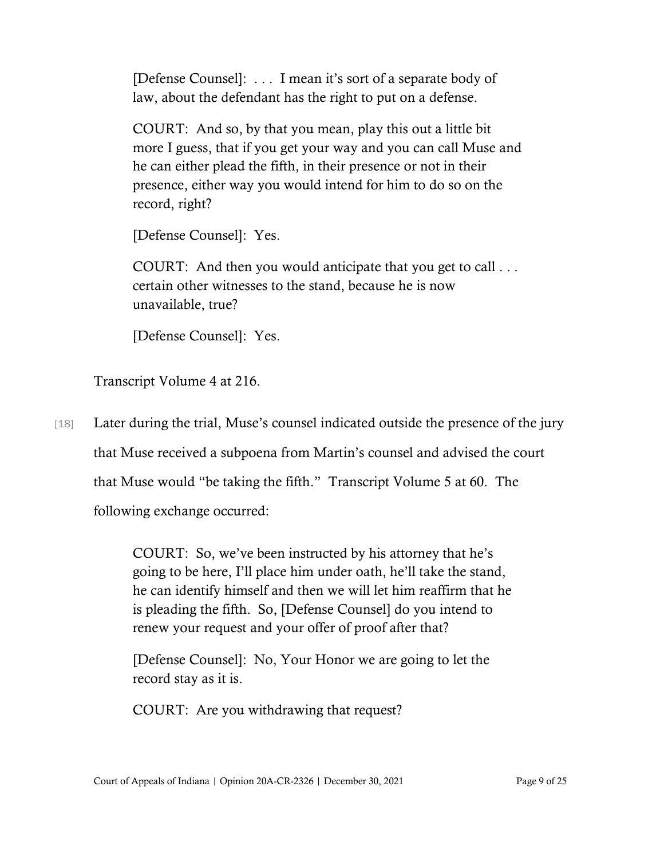[Defense Counsel]: . . . I mean it's sort of a separate body of law, about the defendant has the right to put on a defense.

COURT: And so, by that you mean, play this out a little bit more I guess, that if you get your way and you can call Muse and he can either plead the fifth, in their presence or not in their presence, either way you would intend for him to do so on the record, right?

[Defense Counsel]: Yes.

COURT: And then you would anticipate that you get to call . . . certain other witnesses to the stand, because he is now unavailable, true?

[Defense Counsel]: Yes.

Transcript Volume 4 at 216.

[18] Later during the trial, Muse's counsel indicated outside the presence of the jury that Muse received a subpoena from Martin's counsel and advised the court that Muse would "be taking the fifth." Transcript Volume 5 at 60. The following exchange occurred:

> COURT: So, we've been instructed by his attorney that he's going to be here, I'll place him under oath, he'll take the stand, he can identify himself and then we will let him reaffirm that he is pleading the fifth. So, [Defense Counsel] do you intend to renew your request and your offer of proof after that?

[Defense Counsel]: No, Your Honor we are going to let the record stay as it is.

COURT: Are you withdrawing that request?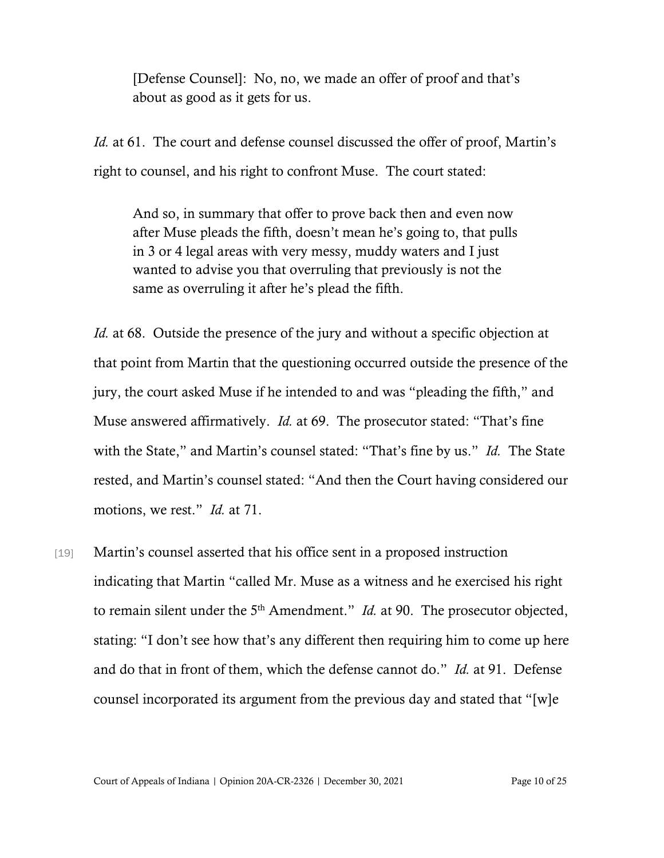[Defense Counsel]: No, no, we made an offer of proof and that's about as good as it gets for us.

*Id.* at 61. The court and defense counsel discussed the offer of proof, Martin's right to counsel, and his right to confront Muse. The court stated:

And so, in summary that offer to prove back then and even now after Muse pleads the fifth, doesn't mean he's going to, that pulls in 3 or 4 legal areas with very messy, muddy waters and I just wanted to advise you that overruling that previously is not the same as overruling it after he's plead the fifth.

*Id.* at 68. Outside the presence of the jury and without a specific objection at that point from Martin that the questioning occurred outside the presence of the jury, the court asked Muse if he intended to and was "pleading the fifth," and Muse answered affirmatively. *Id.* at 69. The prosecutor stated: "That's fine with the State," and Martin's counsel stated: "That's fine by us." *Id.* The State rested, and Martin's counsel stated: "And then the Court having considered our motions, we rest." *Id.* at 71.

[19] Martin's counsel asserted that his office sent in a proposed instruction indicating that Martin "called Mr. Muse as a witness and he exercised his right to remain silent under the 5<sup>th</sup> Amendment." *Id.* at 90. The prosecutor objected, stating: "I don't see how that's any different then requiring him to come up here and do that in front of them, which the defense cannot do." *Id.* at 91. Defense counsel incorporated its argument from the previous day and stated that "[w]e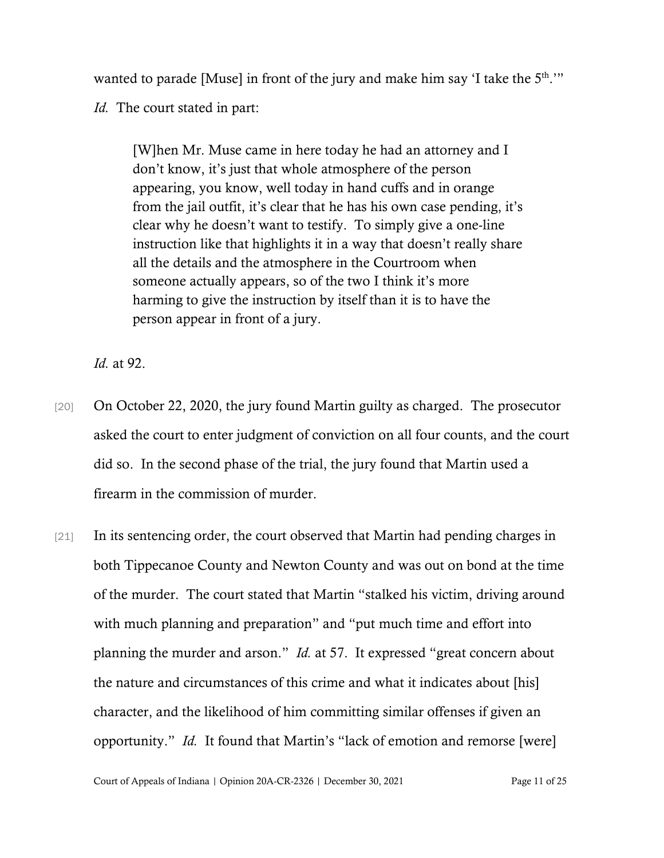wanted to parade [Muse] in front of the jury and make him say 'I take the 5<sup>th</sup>.'" *Id.* The court stated in part:

[W]hen Mr. Muse came in here today he had an attorney and I don't know, it's just that whole atmosphere of the person appearing, you know, well today in hand cuffs and in orange from the jail outfit, it's clear that he has his own case pending, it's clear why he doesn't want to testify. To simply give a one-line instruction like that highlights it in a way that doesn't really share all the details and the atmosphere in the Courtroom when someone actually appears, so of the two I think it's more harming to give the instruction by itself than it is to have the person appear in front of a jury.

*Id.* at 92.

- [20] On October 22, 2020, the jury found Martin guilty as charged. The prosecutor asked the court to enter judgment of conviction on all four counts, and the court did so. In the second phase of the trial, the jury found that Martin used a firearm in the commission of murder.
- [21] In its sentencing order, the court observed that Martin had pending charges in both Tippecanoe County and Newton County and was out on bond at the time of the murder. The court stated that Martin "stalked his victim, driving around with much planning and preparation" and "put much time and effort into planning the murder and arson." *Id.* at 57. It expressed "great concern about the nature and circumstances of this crime and what it indicates about [his] character, and the likelihood of him committing similar offenses if given an opportunity." *Id.* It found that Martin's "lack of emotion and remorse [were]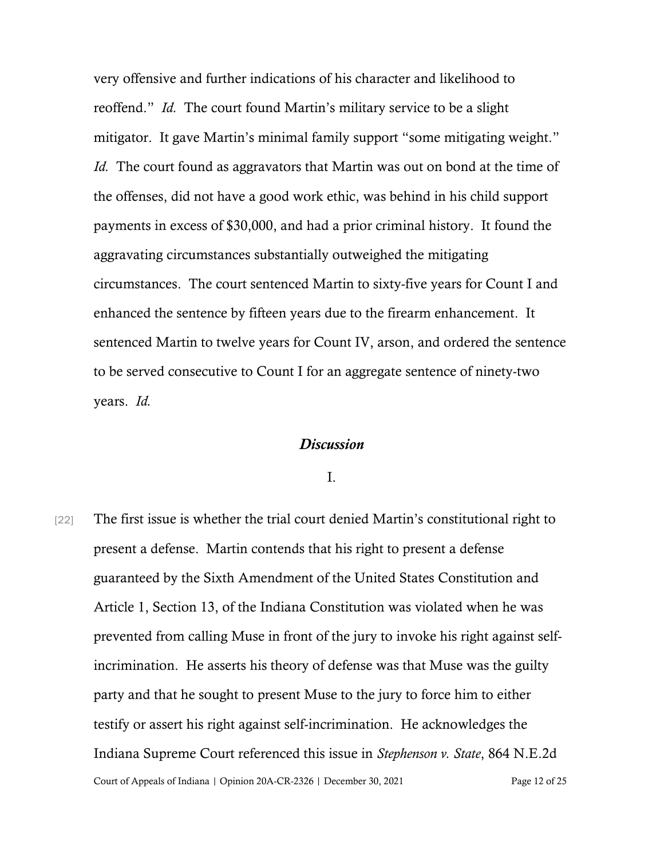very offensive and further indications of his character and likelihood to reoffend." *Id.* The court found Martin's military service to be a slight mitigator. It gave Martin's minimal family support "some mitigating weight." *Id.* The court found as aggravators that Martin was out on bond at the time of the offenses, did not have a good work ethic, was behind in his child support payments in excess of \$30,000, and had a prior criminal history. It found the aggravating circumstances substantially outweighed the mitigating circumstances. The court sentenced Martin to sixty-five years for Count I and enhanced the sentence by fifteen years due to the firearm enhancement. It sentenced Martin to twelve years for Count IV, arson, and ordered the sentence to be served consecutive to Count I for an aggregate sentence of ninety-two years. *Id.*

## *Discussion*

I.

Court of Appeals of Indiana | Opinion 20A-CR-2326 | December 30, 2021 Page 12 of 25 [22] The first issue is whether the trial court denied Martin's constitutional right to present a defense. Martin contends that his right to present a defense guaranteed by the Sixth Amendment of the United States Constitution and Article 1, Section 13, of the Indiana Constitution was violated when he was prevented from calling Muse in front of the jury to invoke his right against selfincrimination. He asserts his theory of defense was that Muse was the guilty party and that he sought to present Muse to the jury to force him to either testify or assert his right against self-incrimination. He acknowledges the Indiana Supreme Court referenced this issue in *Stephenson v. State*, 864 N.E.2d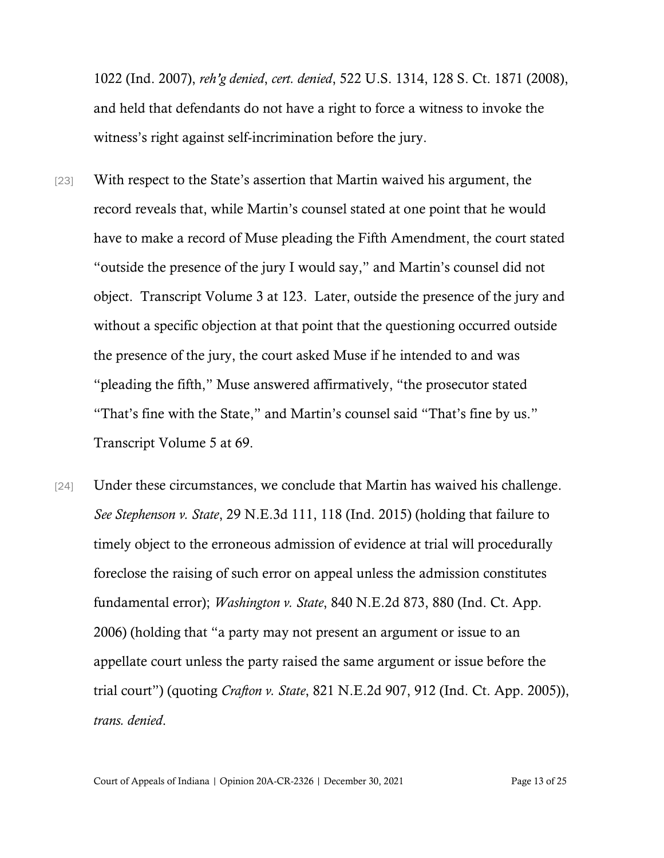1022 (Ind. 2007), *reh'g denied*, *cert. denied*, 522 U.S. 1314, 128 S. Ct. 1871 (2008), and held that defendants do not have a right to force a witness to invoke the witness's right against self-incrimination before the jury.

- [23] With respect to the State's assertion that Martin waived his argument, the record reveals that, while Martin's counsel stated at one point that he would have to make a record of Muse pleading the Fifth Amendment, the court stated "outside the presence of the jury I would say," and Martin's counsel did not object. Transcript Volume 3 at 123. Later, outside the presence of the jury and without a specific objection at that point that the questioning occurred outside the presence of the jury, the court asked Muse if he intended to and was "pleading the fifth," Muse answered affirmatively, "the prosecutor stated "That's fine with the State," and Martin's counsel said "That's fine by us." Transcript Volume 5 at 69.
- [24] Under these circumstances, we conclude that Martin has waived his challenge. *See Stephenson v. State*, 29 N.E.3d 111, 118 (Ind. 2015) (holding that failure to timely object to the erroneous admission of evidence at trial will procedurally foreclose the raising of such error on appeal unless the admission constitutes fundamental error); *Washington v. State*, 840 N.E.2d 873, 880 (Ind. Ct. App. 2006) (holding that "a party may not present an argument or issue to an appellate court unless the party raised the same argument or issue before the trial court") (quoting *Crafton v. State*, 821 N.E.2d 907, 912 (Ind. Ct. App. 2005)), *trans. denied*.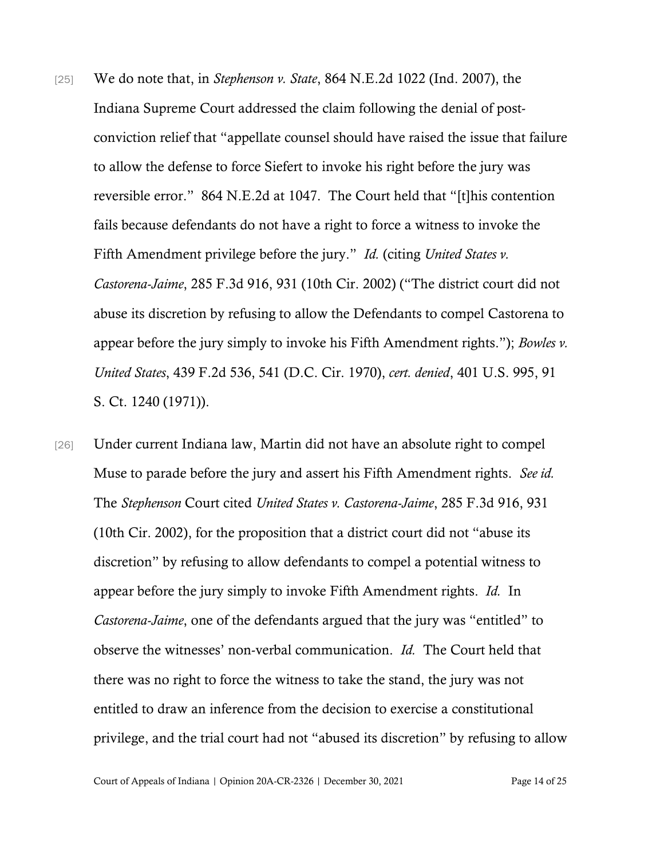- [25] We do note that, in *Stephenson v. State*, 864 N.E.2d 1022 (Ind. 2007), the Indiana Supreme Court addressed the claim following the denial of postconviction relief that "appellate counsel should have raised the issue that failure to allow the defense to force Siefert to invoke his right before the jury was reversible error." 864 N.E.2d at 1047. The Court held that "[t]his contention fails because defendants do not have a right to force a witness to invoke the Fifth Amendment privilege before the jury." *Id.* (citing *United States v. Castorena-Jaime*, 285 F.3d 916, 931 (10th Cir. 2002) ("The district court did not abuse its discretion by refusing to allow the Defendants to compel Castorena to appear before the jury simply to invoke his Fifth Amendment rights."); *Bowles v. United States*, 439 F.2d 536, 541 (D.C. Cir. 1970), *cert. denied*, 401 U.S. 995, 91 S. Ct. 1240 (1971)).
- [26] Under current Indiana law, Martin did not have an absolute right to compel Muse to parade before the jury and assert his Fifth Amendment rights. *See id.*  The *Stephenson* Court cited *United States v. Castorena-Jaime*, 285 F.3d 916, 931 (10th Cir. 2002), for the proposition that a district court did not "abuse its discretion" by refusing to allow defendants to compel a potential witness to appear before the jury simply to invoke Fifth Amendment rights. *Id.* In *Castorena-Jaime*, one of the defendants argued that the jury was "entitled" to observe the witnesses' non-verbal communication. *Id.* The Court held that there was no right to force the witness to take the stand, the jury was not entitled to draw an inference from the decision to exercise a constitutional privilege, and the trial court had not "abused its discretion" by refusing to allow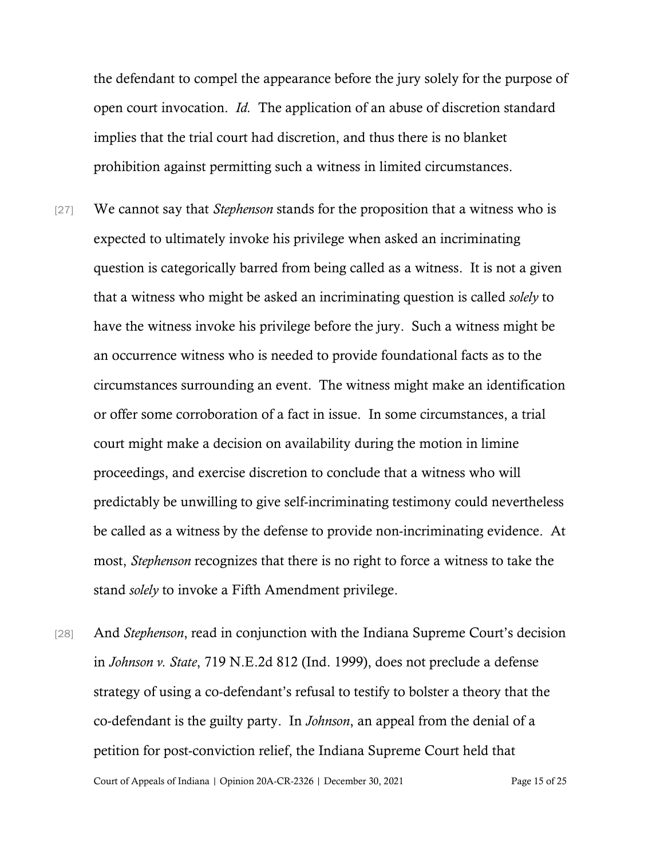the defendant to compel the appearance before the jury solely for the purpose of open court invocation. *Id.* The application of an abuse of discretion standard implies that the trial court had discretion, and thus there is no blanket prohibition against permitting such a witness in limited circumstances.

- [27] We cannot say that *Stephenson* stands for the proposition that a witness who is expected to ultimately invoke his privilege when asked an incriminating question is categorically barred from being called as a witness. It is not a given that a witness who might be asked an incriminating question is called *solely* to have the witness invoke his privilege before the jury. Such a witness might be an occurrence witness who is needed to provide foundational facts as to the circumstances surrounding an event. The witness might make an identification or offer some corroboration of a fact in issue. In some circumstances, a trial court might make a decision on availability during the motion in limine proceedings, and exercise discretion to conclude that a witness who will predictably be unwilling to give self-incriminating testimony could nevertheless be called as a witness by the defense to provide non-incriminating evidence. At most, *Stephenson* recognizes that there is no right to force a witness to take the stand *solely* to invoke a Fifth Amendment privilege.
- Court of Appeals of Indiana | Opinion 20A-CR-2326 | December 30, 2021 Page 15 of 25 [28] And *Stephenson*, read in conjunction with the Indiana Supreme Court's decision in *Johnson v. State*, 719 N.E.2d 812 (Ind. 1999), does not preclude a defense strategy of using a co-defendant's refusal to testify to bolster a theory that the co-defendant is the guilty party. In *Johnson*, an appeal from the denial of a petition for post-conviction relief, the Indiana Supreme Court held that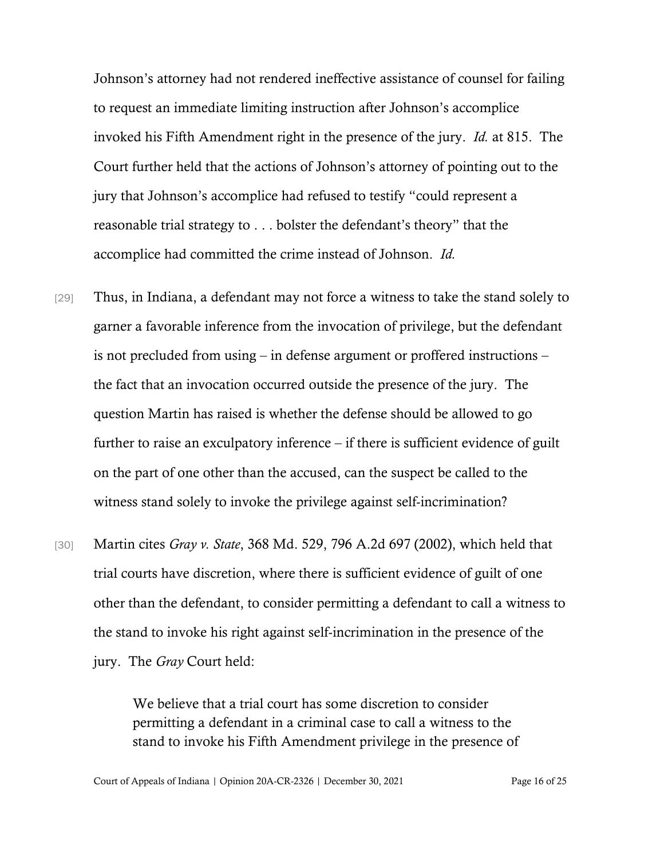Johnson's attorney had not rendered ineffective assistance of counsel for failing to request an immediate limiting instruction after Johnson's accomplice invoked his Fifth Amendment right in the presence of the jury. *Id.* at 815. The Court further held that the actions of Johnson's attorney of pointing out to the jury that Johnson's accomplice had refused to testify "could represent a reasonable trial strategy to . . . bolster the defendant's theory" that the accomplice had committed the crime instead of Johnson. *Id.*

- [29] Thus, in Indiana, a defendant may not force a witness to take the stand solely to garner a favorable inference from the invocation of privilege, but the defendant is not precluded from using – in defense argument or proffered instructions – the fact that an invocation occurred outside the presence of the jury. The question Martin has raised is whether the defense should be allowed to go further to raise an exculpatory inference – if there is sufficient evidence of guilt on the part of one other than the accused, can the suspect be called to the witness stand solely to invoke the privilege against self-incrimination?
- [30] Martin cites *Gray v. State*, 368 Md. 529, 796 A.2d 697 (2002), which held that trial courts have discretion, where there is sufficient evidence of guilt of one other than the defendant, to consider permitting a defendant to call a witness to the stand to invoke his right against self-incrimination in the presence of the jury. The *Gray* Court held:

We believe that a trial court has some discretion to consider permitting a defendant in a criminal case to call a witness to the stand to invoke his Fifth Amendment privilege in the presence of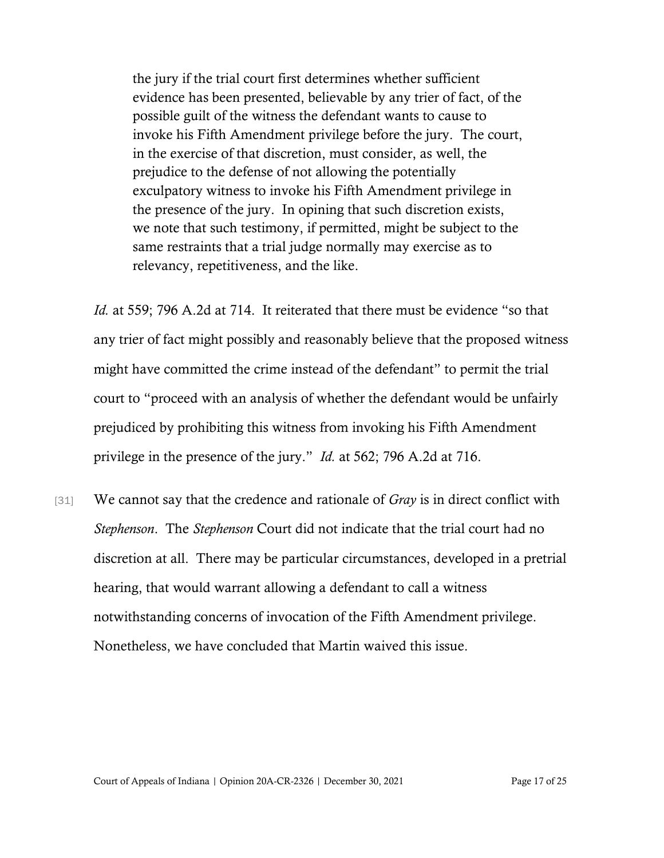the jury if the trial court first determines whether sufficient evidence has been presented, believable by any trier of fact, of the possible guilt of the witness the defendant wants to cause to invoke his Fifth Amendment privilege before the jury. The court, in the exercise of that discretion, must consider, as well, the prejudice to the defense of not allowing the potentially exculpatory witness to invoke his Fifth Amendment privilege in the presence of the jury. In opining that such discretion exists, we note that such testimony, if permitted, might be subject to the same restraints that a trial judge normally may exercise as to relevancy, repetitiveness, and the like.

*Id.* at 559; 796 A.2d at 714. It reiterated that there must be evidence "so that any trier of fact might possibly and reasonably believe that the proposed witness might have committed the crime instead of the defendant" to permit the trial court to "proceed with an analysis of whether the defendant would be unfairly prejudiced by prohibiting this witness from invoking his Fifth Amendment privilege in the presence of the jury." *Id.* at 562; 796 A.2d at 716.

[31] We cannot say that the credence and rationale of *Gray* is in direct conflict with *Stephenson*. The *Stephenson* Court did not indicate that the trial court had no discretion at all. There may be particular circumstances, developed in a pretrial hearing, that would warrant allowing a defendant to call a witness notwithstanding concerns of invocation of the Fifth Amendment privilege. Nonetheless, we have concluded that Martin waived this issue.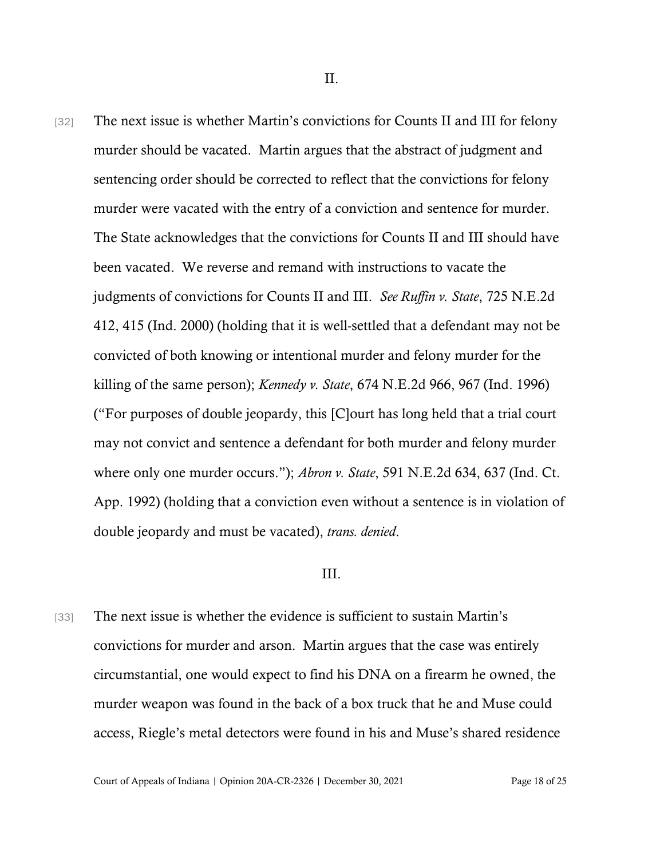[32] The next issue is whether Martin's convictions for Counts II and III for felony murder should be vacated. Martin argues that the abstract of judgment and sentencing order should be corrected to reflect that the convictions for felony murder were vacated with the entry of a conviction and sentence for murder. The State acknowledges that the convictions for Counts II and III should have been vacated. We reverse and remand with instructions to vacate the judgments of convictions for Counts II and III. *See Ruffin v. State*, 725 N.E.2d 412, 415 (Ind. 2000) (holding that it is well-settled that a defendant may not be convicted of both knowing or intentional murder and felony murder for the killing of the same person); *Kennedy v. State*, 674 N.E.2d 966, 967 (Ind. 1996) ("For purposes of double jeopardy, this [C]ourt has long held that a trial court may not convict and sentence a defendant for both murder and felony murder where only one murder occurs."); *Abron v. State*, 591 N.E.2d 634, 637 (Ind. Ct. App. 1992) (holding that a conviction even without a sentence is in violation of double jeopardy and must be vacated), *trans. denied*.

### III.

[33] The next issue is whether the evidence is sufficient to sustain Martin's convictions for murder and arson. Martin argues that the case was entirely circumstantial, one would expect to find his DNA on a firearm he owned, the murder weapon was found in the back of a box truck that he and Muse could access, Riegle's metal detectors were found in his and Muse's shared residence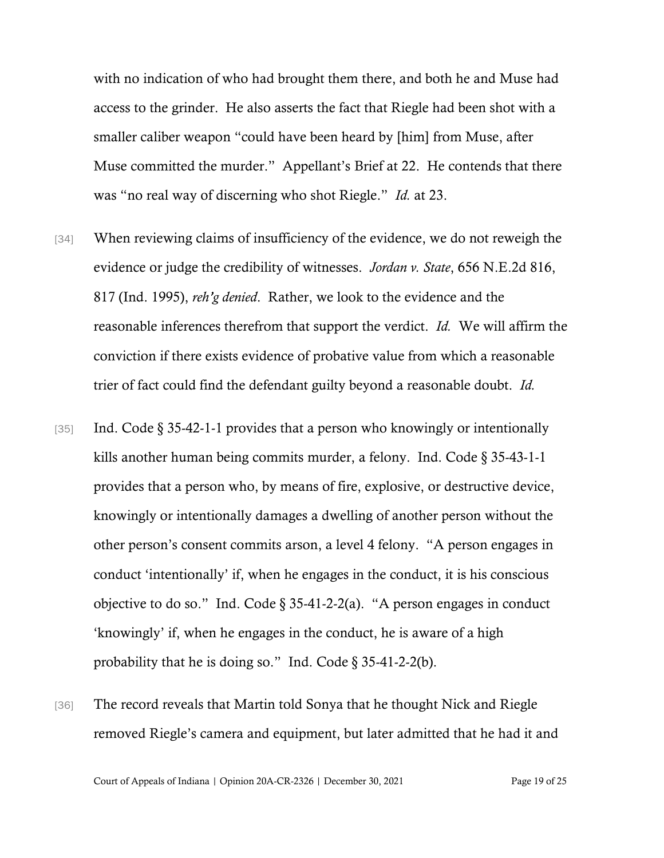with no indication of who had brought them there, and both he and Muse had access to the grinder. He also asserts the fact that Riegle had been shot with a smaller caliber weapon "could have been heard by [him] from Muse, after Muse committed the murder." Appellant's Brief at 22. He contends that there was "no real way of discerning who shot Riegle." *Id.* at 23.

- [34] When reviewing claims of insufficiency of the evidence, we do not reweigh the evidence or judge the credibility of witnesses. *Jordan v. State*, 656 N.E.2d 816, 817 (Ind. 1995), *reh'g denied*. Rather, we look to the evidence and the reasonable inferences therefrom that support the verdict. *Id.* We will affirm the conviction if there exists evidence of probative value from which a reasonable trier of fact could find the defendant guilty beyond a reasonable doubt. *Id.*
- [35] Ind. Code  $\S 35-42-1-1$  provides that a person who knowingly or intentionally kills another human being commits murder, a felony. Ind. Code § 35-43-1-1 provides that a person who, by means of fire, explosive, or destructive device, knowingly or intentionally damages a dwelling of another person without the other person's consent commits arson, a level 4 felony. "A person engages in conduct 'intentionally' if, when he engages in the conduct, it is his conscious objective to do so." Ind. Code  $\S$  35-41-2-2(a). "A person engages in conduct 'knowingly' if, when he engages in the conduct, he is aware of a high probability that he is doing so." Ind. Code  $\S 35-41-2-2(b)$ .
- [36] The record reveals that Martin told Sonya that he thought Nick and Riegle removed Riegle's camera and equipment, but later admitted that he had it and

Court of Appeals of Indiana | Opinion 20A-CR-2326 | December 30, 2021 Page 19 of 25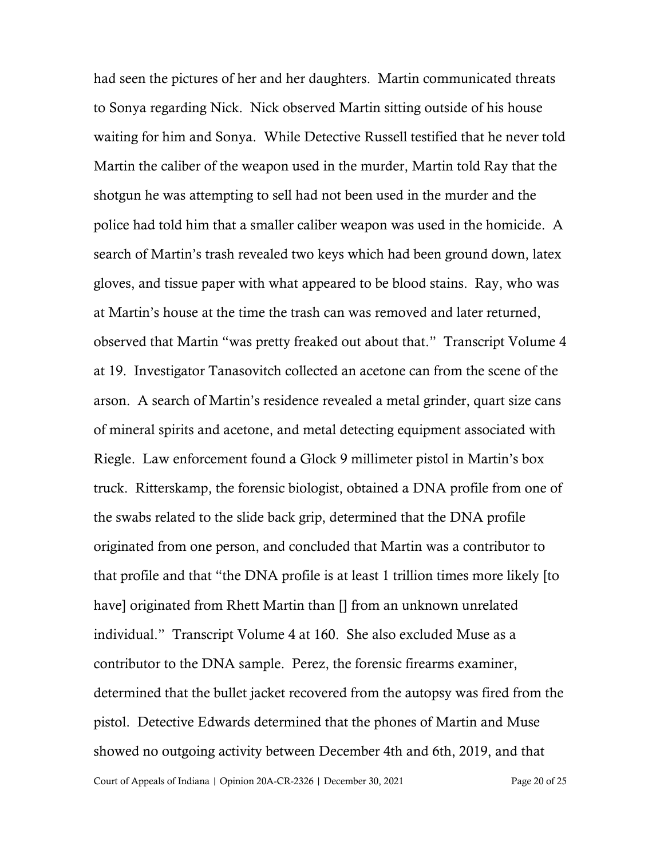Court of Appeals of Indiana | Opinion 20A-CR-2326 | December 30, 2021 Page 20 of 25 had seen the pictures of her and her daughters. Martin communicated threats to Sonya regarding Nick. Nick observed Martin sitting outside of his house waiting for him and Sonya. While Detective Russell testified that he never told Martin the caliber of the weapon used in the murder, Martin told Ray that the shotgun he was attempting to sell had not been used in the murder and the police had told him that a smaller caliber weapon was used in the homicide. A search of Martin's trash revealed two keys which had been ground down, latex gloves, and tissue paper with what appeared to be blood stains. Ray, who was at Martin's house at the time the trash can was removed and later returned, observed that Martin "was pretty freaked out about that." Transcript Volume 4 at 19. Investigator Tanasovitch collected an acetone can from the scene of the arson. A search of Martin's residence revealed a metal grinder, quart size cans of mineral spirits and acetone, and metal detecting equipment associated with Riegle. Law enforcement found a Glock 9 millimeter pistol in Martin's box truck. Ritterskamp, the forensic biologist, obtained a DNA profile from one of the swabs related to the slide back grip, determined that the DNA profile originated from one person, and concluded that Martin was a contributor to that profile and that "the DNA profile is at least 1 trillion times more likely [to have] originated from Rhett Martin than [] from an unknown unrelated individual." Transcript Volume 4 at 160. She also excluded Muse as a contributor to the DNA sample. Perez, the forensic firearms examiner, determined that the bullet jacket recovered from the autopsy was fired from the pistol. Detective Edwards determined that the phones of Martin and Muse showed no outgoing activity between December 4th and 6th, 2019, and that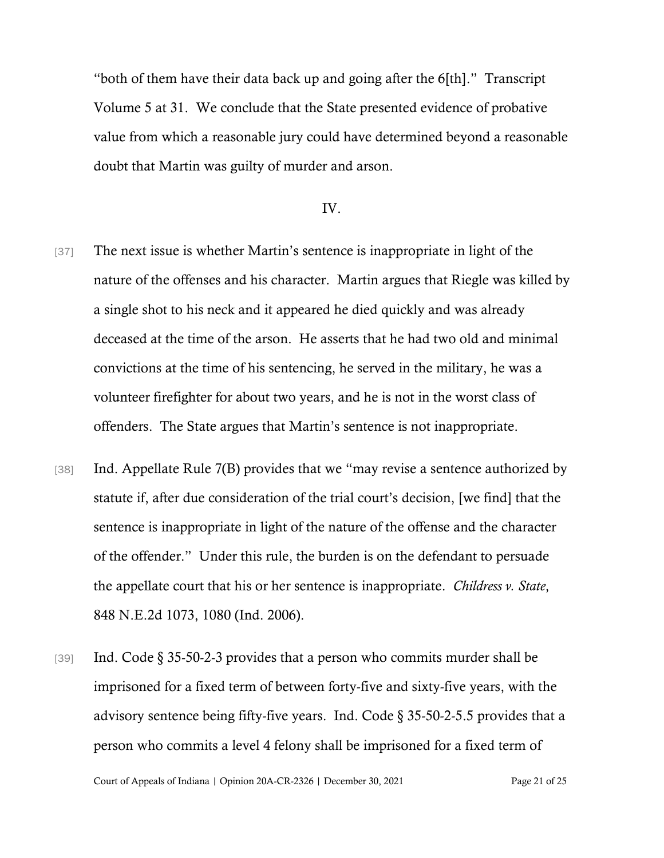"both of them have their data back up and going after the 6[th]." Transcript Volume 5 at 31. We conclude that the State presented evidence of probative value from which a reasonable jury could have determined beyond a reasonable doubt that Martin was guilty of murder and arson.

### IV.

- [37] The next issue is whether Martin's sentence is inappropriate in light of the nature of the offenses and his character. Martin argues that Riegle was killed by a single shot to his neck and it appeared he died quickly and was already deceased at the time of the arson. He asserts that he had two old and minimal convictions at the time of his sentencing, he served in the military, he was a volunteer firefighter for about two years, and he is not in the worst class of offenders. The State argues that Martin's sentence is not inappropriate.
- [38] Ind. Appellate Rule 7(B) provides that we "may revise a sentence authorized by statute if, after due consideration of the trial court's decision, [we find] that the sentence is inappropriate in light of the nature of the offense and the character of the offender." Under this rule, the burden is on the defendant to persuade the appellate court that his or her sentence is inappropriate. *Childress v. State*, 848 N.E.2d 1073, 1080 (Ind. 2006).
- [39] Ind. Code § 35-50-2-3 provides that a person who commits murder shall be imprisoned for a fixed term of between forty-five and sixty-five years, with the advisory sentence being fifty-five years. Ind. Code § 35-50-2-5.5 provides that a person who commits a level 4 felony shall be imprisoned for a fixed term of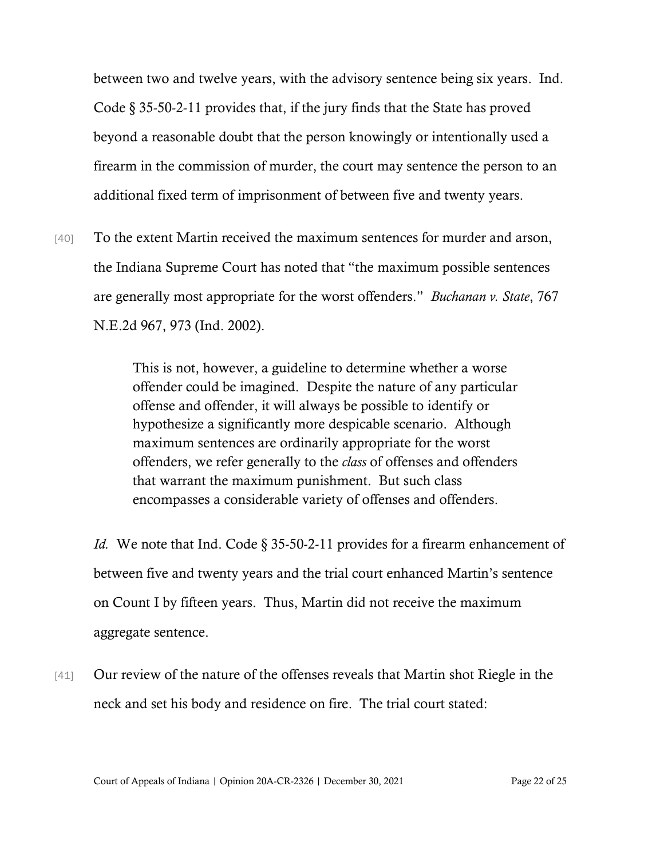between two and twelve years, with the advisory sentence being six years. Ind. Code § 35-50-2-11 provides that, if the jury finds that the State has proved beyond a reasonable doubt that the person knowingly or intentionally used a firearm in the commission of murder, the court may sentence the person to an additional fixed term of imprisonment of between five and twenty years.

[40] To the extent Martin received the maximum sentences for murder and arson, the Indiana Supreme Court has noted that "the maximum possible sentences are generally most appropriate for the worst offenders." *Buchanan v. State*, 767 N.E.2d 967, 973 (Ind. 2002).

> This is not, however, a guideline to determine whether a worse offender could be imagined. Despite the nature of any particular offense and offender, it will always be possible to identify or hypothesize a significantly more despicable scenario. Although maximum sentences are ordinarily appropriate for the worst offenders, we refer generally to the *class* of offenses and offenders that warrant the maximum punishment. But such class encompasses a considerable variety of offenses and offenders.

*Id.* We note that Ind. Code § 35-50-2-11 provides for a firearm enhancement of between five and twenty years and the trial court enhanced Martin's sentence on Count I by fifteen years. Thus, Martin did not receive the maximum aggregate sentence.

[41] Our review of the nature of the offenses reveals that Martin shot Riegle in the neck and set his body and residence on fire. The trial court stated: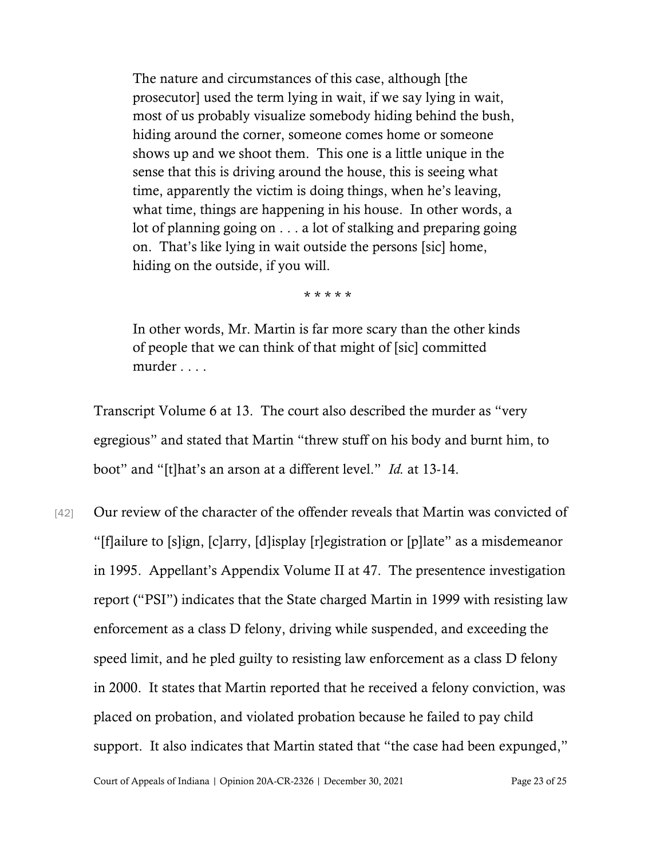The nature and circumstances of this case, although [the prosecutor] used the term lying in wait, if we say lying in wait, most of us probably visualize somebody hiding behind the bush, hiding around the corner, someone comes home or someone shows up and we shoot them. This one is a little unique in the sense that this is driving around the house, this is seeing what time, apparently the victim is doing things, when he's leaving, what time, things are happening in his house. In other words, a lot of planning going on . . . a lot of stalking and preparing going on. That's like lying in wait outside the persons [sic] home, hiding on the outside, if you will.

\* \* \* \* \*

In other words, Mr. Martin is far more scary than the other kinds of people that we can think of that might of [sic] committed murder . . . .

Transcript Volume 6 at 13. The court also described the murder as "very egregious" and stated that Martin "threw stuff on his body and burnt him, to boot" and "[t]hat's an arson at a different level." *Id.* at 13-14.

[42] Our review of the character of the offender reveals that Martin was convicted of "[f]ailure to [s]ign, [c]arry, [d]isplay [r]egistration or [p]late" as a misdemeanor in 1995. Appellant's Appendix Volume II at 47. The presentence investigation report ("PSI") indicates that the State charged Martin in 1999 with resisting law enforcement as a class D felony, driving while suspended, and exceeding the speed limit, and he pled guilty to resisting law enforcement as a class D felony in 2000. It states that Martin reported that he received a felony conviction, was placed on probation, and violated probation because he failed to pay child support. It also indicates that Martin stated that "the case had been expunged,"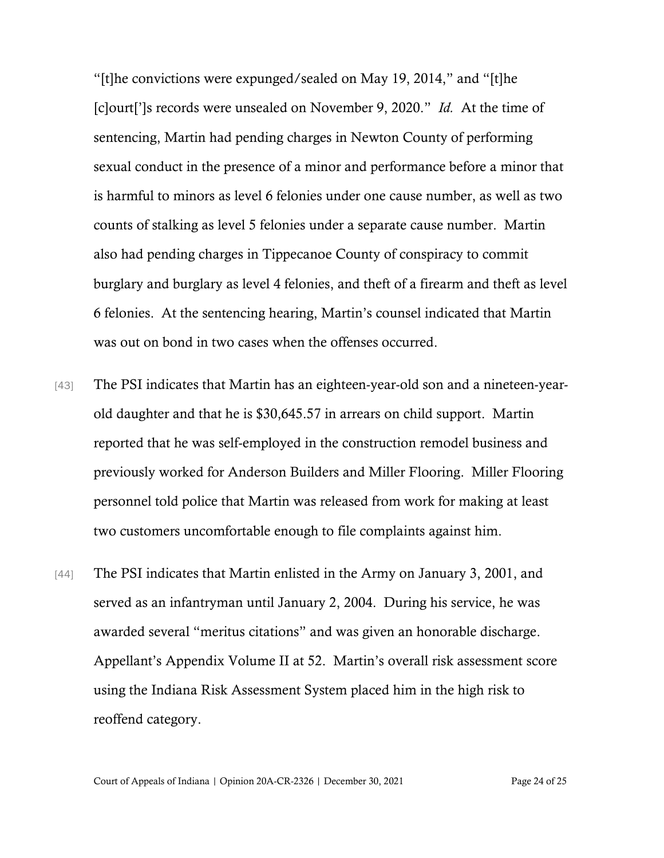"[t]he convictions were expunged/sealed on May 19, 2014," and "[t]he [c]ourt[']s records were unsealed on November 9, 2020." *Id.* At the time of sentencing, Martin had pending charges in Newton County of performing sexual conduct in the presence of a minor and performance before a minor that is harmful to minors as level 6 felonies under one cause number, as well as two counts of stalking as level 5 felonies under a separate cause number. Martin also had pending charges in Tippecanoe County of conspiracy to commit burglary and burglary as level 4 felonies, and theft of a firearm and theft as level 6 felonies. At the sentencing hearing, Martin's counsel indicated that Martin was out on bond in two cases when the offenses occurred.

- [43] The PSI indicates that Martin has an eighteen-year-old son and a nineteen-yearold daughter and that he is \$30,645.57 in arrears on child support. Martin reported that he was self-employed in the construction remodel business and previously worked for Anderson Builders and Miller Flooring. Miller Flooring personnel told police that Martin was released from work for making at least two customers uncomfortable enough to file complaints against him.
- [44] The PSI indicates that Martin enlisted in the Army on January 3, 2001, and served as an infantryman until January 2, 2004. During his service, he was awarded several "meritus citations" and was given an honorable discharge. Appellant's Appendix Volume II at 52. Martin's overall risk assessment score using the Indiana Risk Assessment System placed him in the high risk to reoffend category.